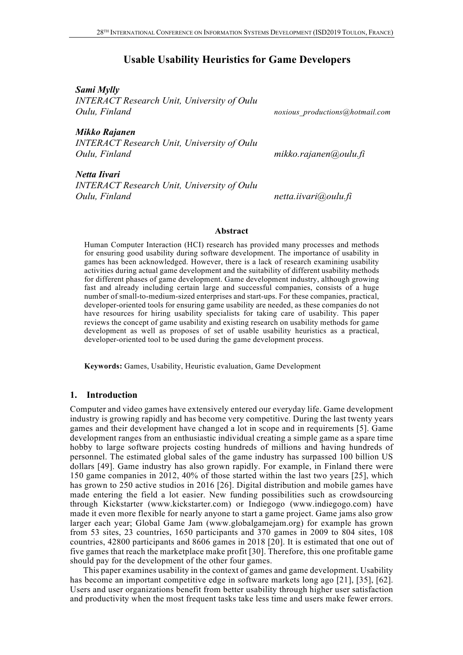# **Usable Usability Heuristics for Game Developers**

### *Sami Mylly*

*INTERACT Research Unit, University of Oulu Oulu, Finland noxious\_productions@hotmail.com*

### *Mikko Rajanen*

*INTERACT Research Unit, University of Oulu Oulu, Finland mikko.rajanen@oulu.fi*

# *Netta Iivari*

*INTERACT Research Unit, University of Oulu Oulu, Finland netta.iivari@oulu.fi*

#### **Abstract**

Human Computer Interaction (HCI) research has provided many processes and methods for ensuring good usability during software development. The importance of usability in games has been acknowledged. However, there is a lack of research examining usability activities during actual game development and the suitability of different usability methods for different phases of game development. Game development industry, although growing fast and already including certain large and successful companies, consists of a huge number of small-to-medium-sized enterprises and start-ups. For these companies, practical, developer-oriented tools for ensuring game usability are needed, as these companies do not have resources for hiring usability specialists for taking care of usability. This paper reviews the concept of game usability and existing research on usability methods for game development as well as proposes of set of usable usability heuristics as a practical, developer-oriented tool to be used during the game development process.

**Keywords:** Games, Usability, Heuristic evaluation, Game Development

# **1. Introduction**

Computer and video games have extensively entered our everyday life. Game development industry is growing rapidly and has become very competitive. During the last twenty years games and their development have changed a lot in scope and in requirements [5]. Game development ranges from an enthusiastic individual creating a simple game as a spare time hobby to large software projects costing hundreds of millions and having hundreds of personnel. The estimated global sales of the game industry has surpassed 100 billion US dollars [49]. Game industry has also grown rapidly. For example, in Finland there were 150 game companies in 2012, 40% of those started within the last two years [25], which has grown to 250 active studios in 2016 [26]. Digital distribution and mobile games have made entering the field a lot easier. New funding possibilities such as crowdsourcing through Kickstarter (www.kickstarter.com) or Indiegogo (www.indiegogo.com) have made it even more flexible for nearly anyone to start a game project. Game jams also grow larger each year; Global Game Jam (www.globalgamejam.org) for example has grown from 53 sites, 23 countries, 1650 participants and 370 games in 2009 to 804 sites, 108 countries, 42800 participants and 8606 games in 2018 [20]. It is estimated that one out of five games that reach the marketplace make profit [30]. Therefore, this one profitable game should pay for the development of the other four games.

This paper examines usability in the context of games and game development. Usability has become an important competitive edge in software markets long ago [21], [35], [62]. Users and user organizations benefit from better usability through higher user satisfaction and productivity when the most frequent tasks take less time and users make fewer errors.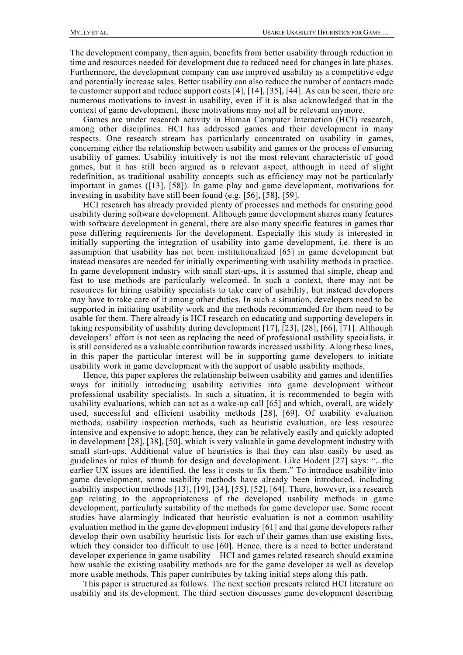The development company, then again, benefits from better usability through reduction in time and resources needed for development due to reduced need for changes in late phases. Furthermore, the development company can use improved usability as a competitive edge and potentially increase sales. Better usability can also reduce the number of contacts made to customer support and reduce support costs [4], [14], [35], [44]. As can be seen, there are numerous motivations to invest in usability, even if it is also acknowledged that in the context of game development, these motivations may not all be relevant anymore.

Games are under research activity in Human Computer Interaction (HCI) research, among other disciplines. HCI has addressed games and their development in many respects. One research stream has particularly concentrated on usability in games, concerning either the relationship between usability and games or the process of ensuring usability of games. Usability intuitively is not the most relevant characteristic of good games, but it has still been argued as a relevant aspect, although in need of slight redefinition, as traditional usability concepts such as efficiency may not be particularly important in games ([13], [58]). In game play and game development, motivations for investing in usability have still been found (e.g. [56], [58], [59].

HCI research has already provided plenty of processes and methods for ensuring good usability during software development. Although game development shares many features with software development in general, there are also many specific features in games that pose differing requirements for the development. Especially this study is interested in initially supporting the integration of usability into game development, i.e. there is an assumption that usability has not been institutionalized [65] in game development but instead measures are needed for initially experimenting with usability methods in practice. In game development industry with small start-ups, it is assumed that simple, cheap and fast to use methods are particularly welcomed. In such a context, there may not be resources for hiring usability specialists to take care of usability, but instead developers may have to take care of it among other duties. In such a situation, developers need to be supported in initiating usability work and the methods recommended for them need to be usable for them. There already is HCI research on educating and supporting developers in taking responsibility of usability during development [17], [23], [28], [66], [71]. Although developers' effort is not seen as replacing the need of professional usability specialists, it is still considered as a valuable contribution towards increased usability. Along these lines, in this paper the particular interest will be in supporting game developers to initiate usability work in game development with the support of usable usability methods.

Hence, this paper explores the relationship between usability and games and identifies ways for initially introducing usability activities into game development without professional usability specialists. In such a situation, it is recommended to begin with usability evaluations, which can act as a wake-up call [65] and which, overall, are widely used, successful and efficient usability methods [28], [69]. Of usability evaluation methods, usability inspection methods, such as heuristic evaluation, are less resource intensive and expensive to adopt; hence, they can be relatively easily and quickly adopted in development [28], [38], [50], which is very valuable in game development industry with small start-ups. Additional value of heuristics is that they can also easily be used as guidelines or rules of thumb for design and development. Like Hodent [27] says: "...the earlier UX issues are identified, the less it costs to fix them." To introduce usability into game development, some usability methods have already been introduced, including usability inspection methods [13], [19], [34], [55], [52], [64]. There, however, is a research gap relating to the appropriateness of the developed usability methods in game development, particularly suitability of the methods for game developer use. Some recent studies have alarmingly indicated that heuristic evaluation is not a common usability evaluation method in the game development industry [61] and that game developers rather develop their own usability heuristic lists for each of their games than use existing lists, which they consider too difficult to use [60]. Hence, there is a need to better understand developer experience in game usability – HCI and games related research should examine how usable the existing usability methods are for the game developer as well as develop more usable methods. This paper contributes by taking initial steps along this path.

This paper is structured as follows. The next section presents related HCI literature on usability and its development. The third section discusses game development describing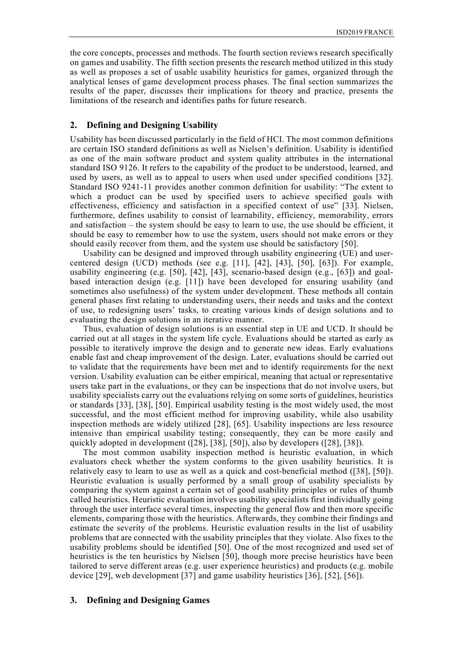the core concepts, processes and methods. The fourth section reviews research specifically on games and usability. The fifth section presents the research method utilized in this study as well as proposes a set of usable usability heuristics for games, organized through the analytical lenses of game development process phases. The final section summarizes the results of the paper, discusses their implications for theory and practice, presents the limitations of the research and identifies paths for future research.

# **2. Defining and Designing Usability**

Usability has been discussed particularly in the field of HCI. The most common definitions are certain ISO standard definitions as well as Nielsen's definition. Usability is identified as one of the main software product and system quality attributes in the international standard ISO 9126. It refers to the capability of the product to be understood, learned, and used by users, as well as to appeal to users when used under specified conditions [32]. Standard ISO 9241-11 provides another common definition for usability: "The extent to which a product can be used by specified users to achieve specified goals with effectiveness, efficiency and satisfaction in a specified context of use" [33]. Nielsen, furthermore, defines usability to consist of learnability, efficiency, memorability, errors and satisfaction – the system should be easy to learn to use, the use should be efficient, it should be easy to remember how to use the system, users should not make errors or they should easily recover from them, and the system use should be satisfactory [50].

Usability can be designed and improved through usability engineering (UE) and usercentered design (UCD) methods (see e.g. [11], [42], [43], [50], [63]). For example, usability engineering (e.g. [50], [42], [43], scenario-based design (e.g., [63]) and goalbased interaction design (e.g. [11]) have been developed for ensuring usability (and sometimes also usefulness) of the system under development. These methods all contain general phases first relating to understanding users, their needs and tasks and the context of use, to redesigning users' tasks, to creating various kinds of design solutions and to evaluating the design solutions in an iterative manner.

Thus, evaluation of design solutions is an essential step in UE and UCD. It should be carried out at all stages in the system life cycle. Evaluations should be started as early as possible to iteratively improve the design and to generate new ideas. Early evaluations enable fast and cheap improvement of the design. Later, evaluations should be carried out to validate that the requirements have been met and to identify requirements for the next version. Usability evaluation can be either empirical, meaning that actual or representative users take part in the evaluations, or they can be inspections that do not involve users, but usability specialists carry out the evaluations relying on some sorts of guidelines, heuristics or standards [33], [38], [50]. Empirical usability testing is the most widely used, the most successful, and the most efficient method for improving usability, while also usability inspection methods are widely utilized [28], [65]. Usability inspections are less resource intensive than empirical usability testing; consequently, they can be more easily and quickly adopted in development ([28], [38], [50]), also by developers ([28], [38]).

The most common usability inspection method is heuristic evaluation, in which evaluators check whether the system conforms to the given usability heuristics. It is relatively easy to learn to use as well as a quick and cost-beneficial method ([38], [50]). Heuristic evaluation is usually performed by a small group of usability specialists by comparing the system against a certain set of good usability principles or rules of thumb called heuristics. Heuristic evaluation involves usability specialists first individually going through the user interface several times, inspecting the general flow and then more specific elements, comparing those with the heuristics. Afterwards, they combine their findings and estimate the severity of the problems. Heuristic evaluation results in the list of usability problems that are connected with the usability principles that they violate. Also fixes to the usability problems should be identified [50]. One of the most recognized and used set of heuristics is the ten heuristics by Nielsen [50], though more precise heuristics have been tailored to serve different areas (e.g. user experience heuristics) and products (e.g. mobile device [29], web development [37] and game usability heuristics [36], [52], [56]).

# **3. Defining and Designing Games**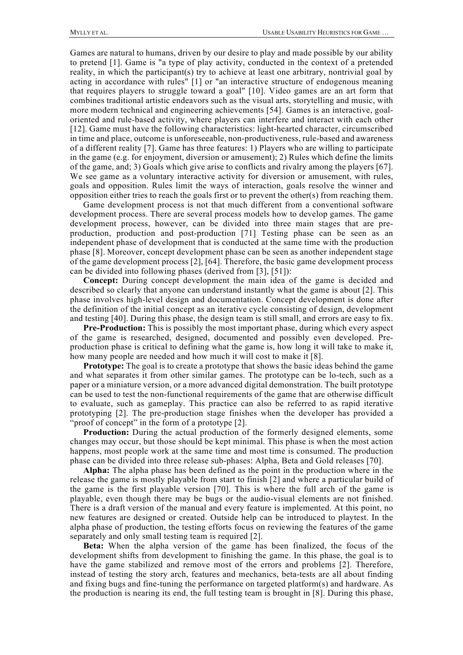Games are natural to humans, driven by our desire to play and made possible by our ability to pretend [1]. Game is "a type of play activity, conducted in the context of a pretended reality, in which the participant(s) try to achieve at least one arbitrary, nontrivial goal by acting in accordance with rules" [1] or "an interactive structure of endogenous meaning that requires players to struggle toward a goal" [10]. Video games are an art form that combines traditional artistic endeavors such as the visual arts, storytelling and music, with more modern technical and engineering achievements [54]. Games is an interactive, goaloriented and rule-based activity, where players can interfere and interact with each other [12]. Game must have the following characteristics: light-hearted character, circumscribed in time and place, outcome is unforeseeable, non-productiveness, rule-based and awareness of a different reality [7]. Game has three features: 1) Players who are willing to participate in the game (e.g. for enjoyment, diversion or amusement); 2) Rules which define the limits of the game, and; 3) Goals which give arise to conflicts and rivalry among the players [67]. We see game as a voluntary interactive activity for diversion or amusement, with rules, goals and opposition. Rules limit the ways of interaction, goals resolve the winner and opposition either tries to reach the goals first or to prevent the other(s) from reaching them.

Game development process is not that much different from a conventional software development process. There are several process models how to develop games. The game development process, however, can be divided into three main stages that are preproduction, production and post-production [71] Testing phase can be seen as an independent phase of development that is conducted at the same time with the production phase [8]. Moreover, concept development phase can be seen as another independent stage of the game development process [2], [64]. Therefore, the basic game development process can be divided into following phases (derived from [3], [51]):

**Concept:** During concept development the main idea of the game is decided and described so clearly that anyone can understand instantly what the game is about [2]. This phase involves high-level design and documentation. Concept development is done after the definition of the initial concept as an iterative cycle consisting of design, development and testing [40]. During this phase, the design team is still small, and errors are easy to fix.

**Pre-Production:** This is possibly the most important phase, during which every aspect of the game is researched, designed, documented and possibly even developed. Preproduction phase is critical to defining what the game is, how long it will take to make it, how many people are needed and how much it will cost to make it [8].

**Prototype:** The goal is to create a prototype that shows the basic ideas behind the game and what separates it from other similar games. The prototype can be lo-tech, such as a paper or a miniature version, or a more advanced digital demonstration. The built prototype can be used to test the non-functional requirements of the game that are otherwise difficult to evaluate, such as gameplay. This practice can also be referred to as rapid iterative prototyping [2]. The pre-production stage finishes when the developer has provided a "proof of concept" in the form of a prototype [2].

**Production:** During the actual production of the formerly designed elements, some changes may occur, but those should be kept minimal. This phase is when the most action happens, most people work at the same time and most time is consumed. The production phase can be divided into three release sub-phases: Alpha, Beta and Gold releases [70].

**Alpha:** The alpha phase has been defined as the point in the production where in the release the game is mostly playable from start to finish [2] and where a particular build of the game is the first playable version [70]. This is where the full arch of the game is playable, even though there may be bugs or the audio-visual elements are not finished. There is a draft version of the manual and every feature is implemented. At this point, no new features are designed or created. Outside help can be introduced to playtest. In the alpha phase of production, the testing efforts focus on reviewing the features of the game separately and only small testing team is required [2].

**Beta:** When the alpha version of the game has been finalized, the focus of the development shifts from development to finishing the game. In this phase, the goal is to have the game stabilized and remove most of the errors and problems [2]. Therefore, instead of testing the story arch, features and mechanics, beta-tests are all about finding and fixing bugs and fine-tuning the performance on targeted platform(s) and hardware. As the production is nearing its end, the full testing team is brought in [8]. During this phase,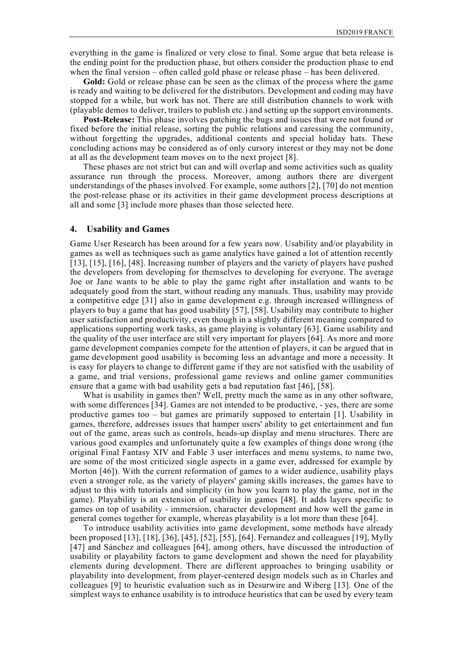everything in the game is finalized or very close to final. Some argue that beta release is the ending point for the production phase, but others consider the production phase to end when the final version – often called gold phase or release phase – has been delivered.

**Gold:** Gold or release phase can be seen as the climax of the process where the game is ready and waiting to be delivered for the distributors. Development and coding may have stopped for a while, but work has not. There are still distribution channels to work with (playable demos to deliver, trailers to publish etc.) and setting up the support environments.

**Post-Release:** This phase involves patching the bugs and issues that were not found or fixed before the initial release, sorting the public relations and caressing the community, without forgetting the upgrades, additional contents and special holiday hats. These concluding actions may be considered as of only cursory interest or they may not be done at all as the development team moves on to the next project [8].

These phases are not strict but can and will overlap and some activities such as quality assurance run through the process. Moreover, among authors there are divergent understandings of the phases involved. For example, some authors [2], [70] do not mention the post-release phase or its activities in their game development process descriptions at all and some [3] include more phases than those selected here.

### **4. Usability and Games**

Game User Research has been around for a few years now. Usability and/or playability in games as well as techniques such as game analytics have gained a lot of attention recently [13], [15], [16], [48]. Increasing number of players and the variety of players have pushed the developers from developing for themselves to developing for everyone. The average Joe or Jane wants to be able to play the game right after installation and wants to be adequately good from the start, without reading any manuals. Thus, usability may provide a competitive edge [31] also in game development e.g. through increased willingness of players to buy a game that has good usability [57], [58]. Usability may contribute to higher user satisfaction and productivity, even though in a slightly different meaning compared to applications supporting work tasks, as game playing is voluntary [63]. Game usability and the quality of the user interface are still very important for players [64]. As more and more game development companies compete for the attention of players, it can be argued that in game development good usability is becoming less an advantage and more a necessity. It is easy for players to change to different game if they are not satisfied with the usability of a game, and trial versions, professional game reviews and online gamer communities ensure that a game with bad usability gets a bad reputation fast [46], [58].

What is usability in games then? Well, pretty much the same as in any other software, with some differences [34]. Games are not intended to be productive, - yes, there are some productive games too – but games are primarily supposed to entertain [1]. Usability in games, therefore, addresses issues that hamper users' ability to get entertainment and fun out of the game, areas such as controls, heads-up display and menu structures. There are various good examples and unfortunately quite a few examples of things done wrong (the original Final Fantasy XIV and Fable 3 user interfaces and menu systems, to name two, are some of the most criticized single aspects in a game ever, addressed for example by Morton [46]). With the current reformation of games to a wider audience, usability plays even a stronger role, as the variety of players' gaming skills increases, the games have to adjust to this with tutorials and simplicity (in how you learn to play the game, not in the game). Playability is an extension of usability in games [48]. It adds layers specific to games on top of usability - immersion, character development and how well the game in general comes together for example, whereas playability is a lot more than these [64].

To introduce usability activities into game development, some methods have already been proposed [13], [18], [36], [45], [52], [55], [64]. Fernandez and colleagues [19], Mylly [47] and Sánchez and colleagues [64], among others, have discussed the introduction of usability or playability factors to game development and shown the need for playability elements during development. There are different approaches to bringing usability or playability into development, from player-centered design models such as in Charles and colleagues [9] to heuristic evaluation such as in Desurwire and Wiberg [13]. One of the simplest ways to enhance usability is to introduce heuristics that can be used by every team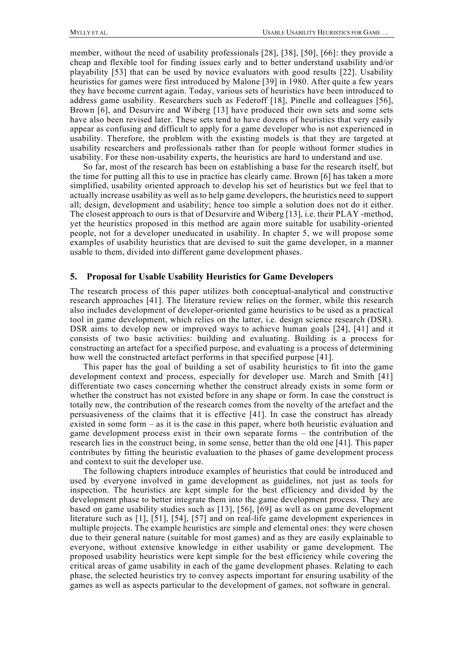member, without the need of usability professionals [28], [38], [50], [66]: they provide a cheap and flexible tool for finding issues early and to better understand usability and/or playability [53] that can be used by novice evaluators with good results [22]. Usability heuristics for games were first introduced by Malone [39] in 1980. After quite a few years they have become current again. Today, various sets of heuristics have been introduced to address game usability. Researchers such as Federoff [18], Pinelle and colleagues [56], Brown [6], and Desurvire and Wiberg [13] have produced their own sets and some sets have also been revised later. These sets tend to have dozens of heuristics that very easily appear as confusing and difficult to apply for a game developer who is not experienced in usability. Therefore, the problem with the existing models is that they are targeted at usability researchers and professionals rather than for people without former studies in usability. For these non-usability experts, the heuristics are hard to understand and use.

So far, most of the research has been on establishing a base for the research itself, but the time for putting all this to use in practice has clearly came. Brown [6] has taken a more simplified, usability oriented approach to develop his set of heuristics but we feel that to actually increase usability as well as to help game developers, the heuristics need to support all; design, development and usability; hence too simple a solution does not do it either. The closest approach to ours is that of Desurvire and Wiberg [13], i.e. their PLAY -method, yet the heuristics proposed in this method are again more suitable for usability-oriented people, not for a developer uneducated in usability. In chapter 5, we will propose some examples of usability heuristics that are devised to suit the game developer, in a manner usable to them, divided into different game development phases.

## **5. Proposal for Usable Usability Heuristics for Game Developers**

The research process of this paper utilizes both conceptual-analytical and constructive research approaches [41]. The literature review relies on the former, while this research also includes development of developer-oriented game heuristics to be used as a practical tool in game development, which relies on the latter, i.e. design science research (DSR). DSR aims to develop new or improved ways to achieve human goals [24], [41] and it consists of two basic activities: building and evaluating. Building is a process for constructing an artefact for a specified purpose, and evaluating is a process of determining how well the constructed artefact performs in that specified purpose [41].

This paper has the goal of building a set of usability heuristics to fit into the game development context and process, especially for developer use. March and Smith [41] differentiate two cases concerning whether the construct already exists in some form or whether the construct has not existed before in any shape or form. In case the construct is totally new, the contribution of the research comes from the novelty of the artefact and the persuasiveness of the claims that it is effective [41]. In case the construct has already existed in some form – as it is the case in this paper, where both heuristic evaluation and game development process exist in their own separate forms – the contribution of the research lies in the construct being, in some sense, better than the old one [41]. This paper contributes by fitting the heuristic evaluation to the phases of game development process and context to suit the developer use.

The following chapters introduce examples of heuristics that could be introduced and used by everyone involved in game development as guidelines, not just as tools for inspection. The heuristics are kept simple for the best efficiency and divided by the development phase to better integrate them into the game development process. They are based on game usability studies such as [13], [56], [69] as well as on game development literature such as [1], [51], [54], [57] and on real-life game development experiences in multiple projects. The example heuristics are simple and elemental ones: they were chosen due to their general nature (suitable for most games) and as they are easily explainable to everyone, without extensive knowledge in either usability or game development. The proposed usability heuristics were kept simple for the best efficiency while covering the critical areas of game usability in each of the game development phases. Relating to each phase, the selected heuristics try to convey aspects important for ensuring usability of the games as well as aspects particular to the development of games, not software in general.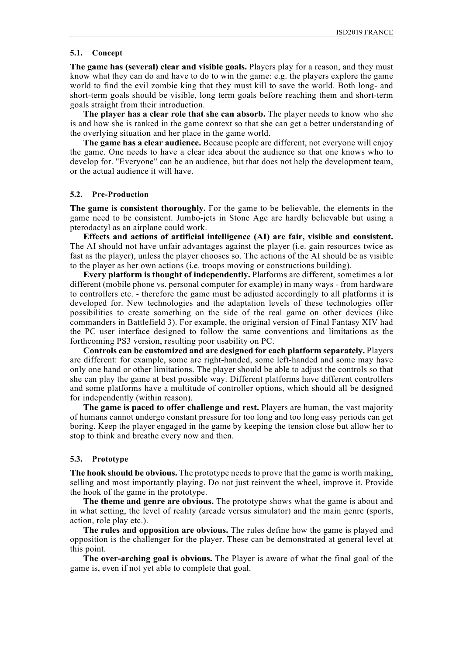#### **5.1. Concept**

**The game has (several) clear and visible goals.** Players play for a reason, and they must know what they can do and have to do to win the game: e.g. the players explore the game world to find the evil zombie king that they must kill to save the world. Both long- and short-term goals should be visible, long term goals before reaching them and short-term goals straight from their introduction.

**The player has a clear role that she can absorb.** The player needs to know who she is and how she is ranked in the game context so that she can get a better understanding of the overlying situation and her place in the game world.

**The game has a clear audience.** Because people are different, not everyone will enjoy the game. One needs to have a clear idea about the audience so that one knows who to develop for. "Everyone" can be an audience, but that does not help the development team, or the actual audience it will have.

### **5.2. Pre-Production**

**The game is consistent thoroughly.** For the game to be believable, the elements in the game need to be consistent. Jumbo-jets in Stone Age are hardly believable but using a pterodactyl as an airplane could work.

**Effects and actions of artificial intelligence (AI) are fair, visible and consistent.** The AI should not have unfair advantages against the player (i.e. gain resources twice as fast as the player), unless the player chooses so. The actions of the AI should be as visible to the player as her own actions (i.e. troops moving or constructions building).

**Every platform is thought of independently.** Platforms are different, sometimes a lot different (mobile phone vs. personal computer for example) in many ways - from hardware to controllers etc. - therefore the game must be adjusted accordingly to all platforms it is developed for. New technologies and the adaptation levels of these technologies offer possibilities to create something on the side of the real game on other devices (like commanders in Battlefield 3). For example, the original version of Final Fantasy XIV had the PC user interface designed to follow the same conventions and limitations as the forthcoming PS3 version, resulting poor usability on PC.

**Controls can be customized and are designed for each platform separately.** Players are different: for example, some are right-handed, some left-handed and some may have only one hand or other limitations. The player should be able to adjust the controls so that she can play the game at best possible way. Different platforms have different controllers and some platforms have a multitude of controller options, which should all be designed for independently (within reason).

**The game is paced to offer challenge and rest.** Players are human, the vast majority of humans cannot undergo constant pressure for too long and too long easy periods can get boring. Keep the player engaged in the game by keeping the tension close but allow her to stop to think and breathe every now and then.

## **5.3. Prototype**

**The hook should be obvious.** The prototype needs to prove that the game is worth making, selling and most importantly playing. Do not just reinvent the wheel, improve it. Provide the hook of the game in the prototype.

**The theme and genre are obvious.** The prototype shows what the game is about and in what setting, the level of reality (arcade versus simulator) and the main genre (sports, action, role play etc.).

**The rules and opposition are obvious.** The rules define how the game is played and opposition is the challenger for the player. These can be demonstrated at general level at this point.

**The over-arching goal is obvious.** The Player is aware of what the final goal of the game is, even if not yet able to complete that goal.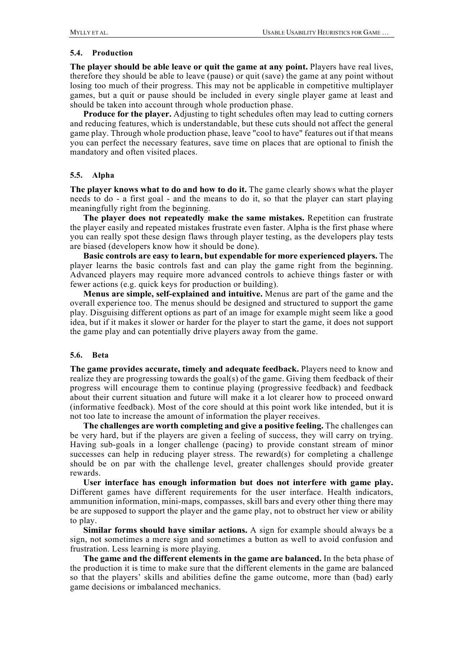## **5.4. Production**

**The player should be able leave or quit the game at any point.** Players have real lives, therefore they should be able to leave (pause) or quit (save) the game at any point without losing too much of their progress. This may not be applicable in competitive multiplayer games, but a quit or pause should be included in every single player game at least and should be taken into account through whole production phase.

**Produce for the player.** Adjusting to tight schedules often may lead to cutting corners and reducing features, which is understandable, but these cuts should not affect the general game play. Through whole production phase, leave "cool to have" features out if that means you can perfect the necessary features, save time on places that are optional to finish the mandatory and often visited places.

# **5.5. Alpha**

**The player knows what to do and how to do it.** The game clearly shows what the player needs to do - a first goal - and the means to do it, so that the player can start playing meaningfully right from the beginning.

**The player does not repeatedly make the same mistakes.** Repetition can frustrate the player easily and repeated mistakes frustrate even faster. Alpha is the first phase where you can really spot these design flaws through player testing, as the developers play tests are biased (developers know how it should be done).

**Basic controls are easy to learn, but expendable for more experienced players.** The player learns the basic controls fast and can play the game right from the beginning. Advanced players may require more advanced controls to achieve things faster or with fewer actions (e.g. quick keys for production or building).

**Menus are simple, self-explained and intuitive.** Menus are part of the game and the overall experience too. The menus should be designed and structured to support the game play. Disguising different options as part of an image for example might seem like a good idea, but if it makes it slower or harder for the player to start the game, it does not support the game play and can potentially drive players away from the game.

# **5.6. Beta**

**The game provides accurate, timely and adequate feedback.** Players need to know and realize they are progressing towards the goal(s) of the game. Giving them feedback of their progress will encourage them to continue playing (progressive feedback) and feedback about their current situation and future will make it a lot clearer how to proceed onward (informative feedback). Most of the core should at this point work like intended, but it is not too late to increase the amount of information the player receives.

**The challenges are worth completing and give a positive feeling.** The challenges can be very hard, but if the players are given a feeling of success, they will carry on trying. Having sub-goals in a longer challenge (pacing) to provide constant stream of minor successes can help in reducing player stress. The reward(s) for completing a challenge should be on par with the challenge level, greater challenges should provide greater rewards.

**User interface has enough information but does not interfere with game play.** Different games have different requirements for the user interface. Health indicators, ammunition information, mini-maps, compasses, skill bars and every other thing there may be are supposed to support the player and the game play, not to obstruct her view or ability to play.

**Similar forms should have similar actions.** A sign for example should always be a sign, not sometimes a mere sign and sometimes a button as well to avoid confusion and frustration. Less learning is more playing.

**The game and the different elements in the game are balanced.** In the beta phase of the production it is time to make sure that the different elements in the game are balanced so that the players' skills and abilities define the game outcome, more than (bad) early game decisions or imbalanced mechanics.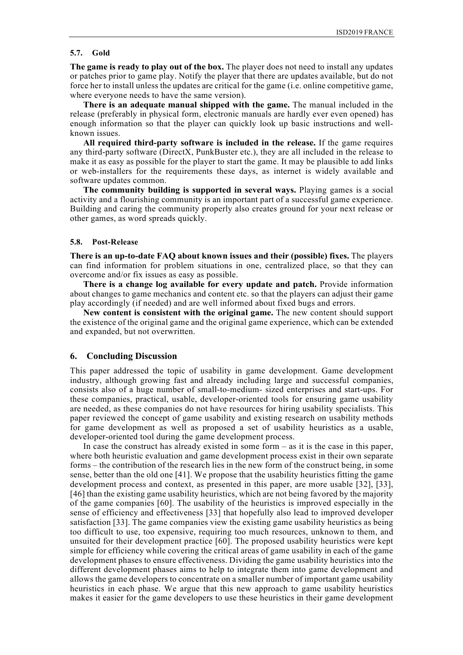#### **5.7. Gold**

**The game is ready to play out of the box.** The player does not need to install any updates or patches prior to game play. Notify the player that there are updates available, but do not force her to install unless the updates are critical for the game (i.e. online competitive game, where everyone needs to have the same version).

**There is an adequate manual shipped with the game.** The manual included in the release (preferably in physical form, electronic manuals are hardly ever even opened) has enough information so that the player can quickly look up basic instructions and wellknown issues.

**All required third-party software is included in the release.** If the game requires any third-party software (DirectX, PunkBuster etc.), they are all included in the release to make it as easy as possible for the player to start the game. It may be plausible to add links or web-installers for the requirements these days, as internet is widely available and software updates common.

**The community building is supported in several ways.** Playing games is a social activity and a flourishing community is an important part of a successful game experience. Building and caring the community properly also creates ground for your next release or other games, as word spreads quickly.

### **5.8. Post-Release**

**There is an up-to-date FAQ about known issues and their (possible) fixes.** The players can find information for problem situations in one, centralized place, so that they can overcome and/or fix issues as easy as possible.

**There is a change log available for every update and patch.** Provide information about changes to game mechanics and content etc. so that the players can adjust their game play accordingly (if needed) and are well informed about fixed bugs and errors.

**New content is consistent with the original game.** The new content should support the existence of the original game and the original game experience, which can be extended and expanded, but not overwritten.

## **6. Concluding Discussion**

This paper addressed the topic of usability in game development. Game development industry, although growing fast and already including large and successful companies, consists also of a huge number of small-to-medium- sized enterprises and start-ups. For these companies, practical, usable, developer-oriented tools for ensuring game usability are needed, as these companies do not have resources for hiring usability specialists. This paper reviewed the concept of game usability and existing research on usability methods for game development as well as proposed a set of usability heuristics as a usable, developer-oriented tool during the game development process.

In case the construct has already existed in some form – as it is the case in this paper, where both heuristic evaluation and game development process exist in their own separate forms – the contribution of the research lies in the new form of the construct being, in some sense, better than the old one [41]. We propose that the usability heuristics fitting the game development process and context, as presented in this paper, are more usable [32], [33], [46] than the existing game usability heuristics, which are not being favored by the majority of the game companies [60]. The usability of the heuristics is improved especially in the sense of efficiency and effectiveness [33] that hopefully also lead to improved developer satisfaction [33]. The game companies view the existing game usability heuristics as being too difficult to use, too expensive, requiring too much resources, unknown to them, and unsuited for their development practice [60]. The proposed usability heuristics were kept simple for efficiency while covering the critical areas of game usability in each of the game development phases to ensure effectiveness. Dividing the game usability heuristics into the different development phases aims to help to integrate them into game development and allows the game developers to concentrate on a smaller number of important game usability heuristics in each phase. We argue that this new approach to game usability heuristics makes it easier for the game developers to use these heuristics in their game development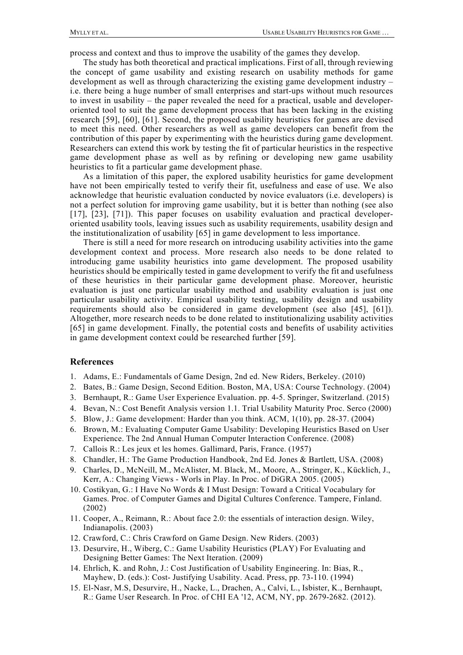process and context and thus to improve the usability of the games they develop.

The study has both theoretical and practical implications. First of all, through reviewing the concept of game usability and existing research on usability methods for game development as well as through characterizing the existing game development industry – i.e. there being a huge number of small enterprises and start-ups without much resources to invest in usability – the paper revealed the need for a practical, usable and developeroriented tool to suit the game development process that has been lacking in the existing research [59], [60], [61]. Second, the proposed usability heuristics for games are devised to meet this need. Other researchers as well as game developers can benefit from the contribution of this paper by experimenting with the heuristics during game development. Researchers can extend this work by testing the fit of particular heuristics in the respective game development phase as well as by refining or developing new game usability heuristics to fit a particular game development phase.

As a limitation of this paper, the explored usability heuristics for game development have not been empirically tested to verify their fit, usefulness and ease of use. We also acknowledge that heuristic evaluation conducted by novice evaluators (i.e. developers) is not a perfect solution for improving game usability, but it is better than nothing (see also [17], [23], [71]). This paper focuses on usability evaluation and practical developeroriented usability tools, leaving issues such as usability requirements, usability design and the institutionalization of usability [65] in game development to less importance.

There is still a need for more research on introducing usability activities into the game development context and process. More research also needs to be done related to introducing game usability heuristics into game development. The proposed usability heuristics should be empirically tested in game development to verify the fit and usefulness of these heuristics in their particular game development phase. Moreover, heuristic evaluation is just one particular usability method and usability evaluation is just one particular usability activity. Empirical usability testing, usability design and usability requirements should also be considered in game development (see also [45], [61]). Altogether, more research needs to be done related to institutionalizing usability activities [65] in game development. Finally, the potential costs and benefits of usability activities in game development context could be researched further [59].

# **References**

- 1. Adams, E.: Fundamentals of Game Design, 2nd ed. New Riders, Berkeley. (2010)
- 2. Bates, B.: Game Design, Second Edition. Boston, MA, USA: Course Technology. (2004)
- 3. Bernhaupt, R.: Game User Experience Evaluation. pp. 4-5. Springer, Switzerland. (2015)
- 4. Bevan, N.: Cost Benefit Analysis version 1.1. Trial Usability Maturity Proc. Serco (2000)
- 5. Blow, J.: Game development: Harder than you think. ACM, 1(10), pp. 28-37. (2004)
- 6. Brown, M.: Evaluating Computer Game Usability: Developing Heuristics Based on User Experience. The 2nd Annual Human Computer Interaction Conference. (2008)
- 7. Callois R.: Les jeux et les homes. Gallimard, Paris, France. (1957)
- 8. Chandler, H.: The Game Production Handbook, 2nd Ed. Jones & Bartlett, USA. (2008)
- 9. Charles, D., McNeill, M., McAlister, M. Black, M., Moore, A., Stringer, K., Kücklich, J., Kerr, A.: Changing Views - Worls in Play. In Proc. of DiGRA 2005. (2005)
- 10. Costikyan, G.: I Have No Words & I Must Design: Toward a Critical Vocabulary for Games. Proc. of Computer Games and Digital Cultures Conference. Tampere, Finland. (2002)
- 11. Cooper, A., Reimann, R.: About face 2.0: the essentials of interaction design. Wiley, Indianapolis. (2003)
- 12. Crawford, C.: Chris Crawford on Game Design. New Riders. (2003)
- 13. Desurvire, H., Wiberg, C.: Game Usability Heuristics (PLAY) For Evaluating and Designing Better Games: The Next Iteration. (2009)
- 14. Ehrlich, K. and Rohn, J.: Cost Justification of Usability Engineering. In: Bias, R., Mayhew, D. (eds.): Cost- Justifying Usability. Acad. Press, pp. 73-110. (1994)
- 15. El-Nasr, M.S, Desurvire, H., Nacke, L., Drachen, A., Calvi, L., Isbister, K., Bernhaupt, R.: Game User Research. In Proc. of CHI EA '12, ACM, NY, pp. 2679-2682. (2012).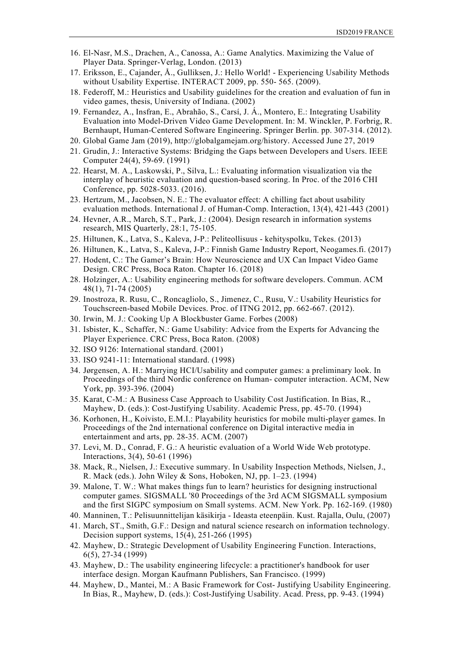- 16. El-Nasr, M.S., Drachen, A., Canossa, A.: Game Analytics. Maximizing the Value of Player Data. Springer-Verlag, London. (2013)
- 17. Eriksson, E., Cajander, Å., Gulliksen, J.: Hello World! Experiencing Usability Methods without Usability Expertise. INTERACT 2009, pp. 550- 565. (2009).
- 18. Federoff, M.: Heuristics and Usability guidelines for the creation and evaluation of fun in video games, thesis, University of Indiana. (2002)
- 19. Fernandez, A., Insfran, E., Abrahão, S., Carsí, J. Á., Montero, E.: Integrating Usability Evaluation into Model-Driven Video Game Development. In: M. Winckler, P. Forbrig, R. Bernhaupt, Human-Centered Software Engineering. Springer Berlin. pp. 307-314. (2012).
- 20. Global Game Jam (2019), http://globalgamejam.org/history. Accessed June 27, 2019
- 21. Grudin, J.: Interactive Systems: Bridging the Gaps between Developers and Users. IEEE Computer 24(4), 59-69. (1991)
- 22. Hearst, M. A., Laskowski, P., Silva, L.: Evaluating information visualization via the interplay of heuristic evaluation and question-based scoring. In Proc. of the 2016 CHI Conference, pp. 5028-5033. (2016).
- 23. Hertzum, M., Jacobsen, N. E.: The evaluator effect: A chilling fact about usability evaluation methods. International J. of Human-Comp. Interaction, 13(4), 421-443 (2001)
- 24. Hevner, A.R., March, S.T., Park, J.: (2004). Design research in information systems research, MIS Quarterly, 28:1, 75-105.
- 25. Hiltunen, K., Latva, S., Kaleva, J-P.: Peliteollisuus kehityspolku, Tekes. (2013)
- 26. Hiltunen, K., Latva, S., Kaleva, J-P.: Finnish Game Industry Report, Neogames.fi. (2017)
- 27. Hodent, C.: The Gamer's Brain: How Neuroscience and UX Can Impact Video Game Design. CRC Press, Boca Raton. Chapter 16. (2018)
- 28. Holzinger, A.: Usability engineering methods for software developers. Commun. ACM 48(1), 71-74 (2005)
- 29. Inostroza, R. Rusu, C., Roncagliolo, S., Jimenez, C., Rusu, V.: Usability Heuristics for Touchscreen-based Mobile Devices. Proc. of ITNG 2012, pp. 662-667. (2012).
- 30. Irwin, M. J.: Cooking Up A Blockbuster Game. Forbes (2008)
- 31. Isbister, K., Schaffer, N.: Game Usability: Advice from the Experts for Advancing the Player Experience. CRC Press, Boca Raton. (2008)
- 32. ISO 9126: International standard. (2001)
- 33. ISO 9241-11: International standard. (1998)
- 34. Jørgensen, A. H.: Marrying HCI/Usability and computer games: a preliminary look. In Proceedings of the third Nordic conference on Human- computer interaction. ACM, New York, pp. 393-396. (2004)
- 35. Karat, C-M.: A Business Case Approach to Usability Cost Justification. In Bias, R., Mayhew, D. (eds.): Cost-Justifying Usability. Academic Press, pp. 45-70. (1994)
- 36. Korhonen, H., Koivisto, E.M.I.: Playability heuristics for mobile multi-player games. In Proceedings of the 2nd international conference on Digital interactive media in entertainment and arts, pp. 28-35. ACM. (2007)
- 37. Levi, M. D., Conrad, F. G.: A heuristic evaluation of a World Wide Web prototype. Interactions, 3(4), 50-61 (1996)
- 38. Mack, R., Nielsen, J.: Executive summary. In Usability Inspection Methods, Nielsen, J., R. Mack (eds.). John Wiley & Sons, Hoboken, NJ, pp. 1–23. (1994)
- 39. Malone, T. W.: What makes things fun to learn? heuristics for designing instructional computer games. SIGSMALL '80 Proceedings of the 3rd ACM SIGSMALL symposium and the first SIGPC symposium on Small systems. ACM. New York. Pp. 162-169. (1980)
- 40. Manninen, T.: Pelisuunnittelijan käsikirja Ideasta eteenpäin. Kust. Rajalla, Oulu, (2007)
- 41. March, ST., Smith, G.F.: Design and natural science research on information technology. Decision support systems, 15(4), 251-266 (1995)
- 42. Mayhew, D.: Strategic Development of Usability Engineering Function. Interactions, 6(5), 27-34 (1999)
- 43. Mayhew, D.: The usability engineering lifecycle: a practitioner's handbook for user interface design. Morgan Kaufmann Publishers, San Francisco. (1999)
- 44. Mayhew, D., Mantei, M.: A Basic Framework for Cost- Justifying Usability Engineering. In Bias, R., Mayhew, D. (eds.): Cost-Justifying Usability. Acad. Press, pp. 9-43. (1994)